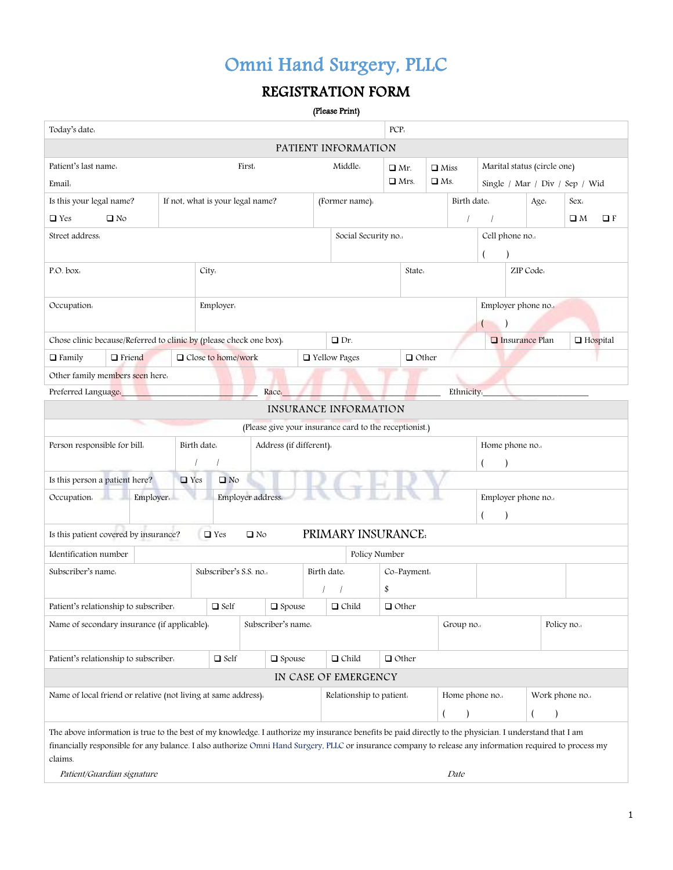## REGISTRATION FORM

| (Please Print) |  |
|----------------|--|
|----------------|--|

| Today's date:                                                                                                                                            |                                                                                                       |                                  |                   |                         |                                                              |                                                        | PCP.               |                         |  |                                              |                    |           |      |             |          |
|----------------------------------------------------------------------------------------------------------------------------------------------------------|-------------------------------------------------------------------------------------------------------|----------------------------------|-------------------|-------------------------|--------------------------------------------------------------|--------------------------------------------------------|--------------------|-------------------------|--|----------------------------------------------|--------------------|-----------|------|-------------|----------|
| PATIENT INFORMATION                                                                                                                                      |                                                                                                       |                                  |                   |                         |                                                              |                                                        |                    |                         |  |                                              |                    |           |      |             |          |
| Patient's last name.<br>Marital status (circle one)<br>First.<br>Middle.<br>$\Box$ Mr.<br>$\Box$ Miss                                                    |                                                                                                       |                                  |                   |                         |                                                              |                                                        |                    |                         |  |                                              |                    |           |      |             |          |
| Email:                                                                                                                                                   |                                                                                                       |                                  |                   |                         |                                                              |                                                        |                    | $\Box$ Mrs.             |  | $\Box$ Ms.<br>Single / Mar / Div / Sep / Wid |                    |           |      |             |          |
| Is this your legal name?                                                                                                                                 |                                                                                                       | If not, what is your legal name? |                   |                         |                                                              | (Former name).                                         |                    |                         |  | Birth date.                                  |                    |           | Age. | Sex.        |          |
| $\Box$ Yes<br>$\square$ No                                                                                                                               |                                                                                                       |                                  |                   |                         |                                                              |                                                        |                    |                         |  | $\sqrt{ }$                                   |                    |           |      | $\square$ M | $\Box F$ |
| Street address.                                                                                                                                          |                                                                                                       |                                  |                   |                         |                                                              | Social Security no                                     |                    |                         |  |                                              | Cell phone no.     |           |      |             |          |
|                                                                                                                                                          |                                                                                                       |                                  |                   |                         |                                                              |                                                        |                    |                         |  |                                              | $\overline{(}$     |           |      |             |          |
| P.O. box.                                                                                                                                                |                                                                                                       | City.                            |                   |                         |                                                              |                                                        |                    | State.                  |  |                                              |                    | ZIP Code. |      |             |          |
|                                                                                                                                                          |                                                                                                       |                                  |                   |                         |                                                              |                                                        |                    |                         |  |                                              |                    |           |      |             |          |
| Occupation.                                                                                                                                              |                                                                                                       | Employer.                        |                   |                         |                                                              |                                                        |                    |                         |  |                                              | Employer phone no. |           |      |             |          |
|                                                                                                                                                          |                                                                                                       |                                  |                   |                         |                                                              |                                                        |                    |                         |  |                                              | (                  |           |      |             |          |
| Chose clinic because/Referred to clinic by (please check one box).                                                                                       |                                                                                                       |                                  |                   |                         |                                                              | $\Box$ Dr.                                             |                    |                         |  |                                              | □ Insurance Plan   |           |      | □ Hospital  |          |
| $\Box$ Family<br>$\Box$ Friend                                                                                                                           |                                                                                                       | □ Close to home/work             |                   |                         |                                                              | □ Yellow Pages                                         |                    | $\Box$ Other            |  |                                              |                    |           |      |             |          |
| Other family members seen here.                                                                                                                          |                                                                                                       |                                  |                   |                         |                                                              |                                                        |                    |                         |  |                                              |                    |           |      |             |          |
| Preferred Language.                                                                                                                                      |                                                                                                       |                                  | Race.             |                         |                                                              |                                                        |                    |                         |  | Ethnicity.                                   |                    |           |      |             |          |
|                                                                                                                                                          |                                                                                                       |                                  |                   |                         |                                                              | INSURANCE INFORMATION                                  |                    |                         |  |                                              |                    |           |      |             |          |
|                                                                                                                                                          |                                                                                                       |                                  |                   |                         |                                                              | (Please give your insurance card to the receptionist.) |                    |                         |  |                                              |                    |           |      |             |          |
| Person responsible for bill.                                                                                                                             |                                                                                                       | Birth date.                      |                   | Address (if different). |                                                              |                                                        |                    |                         |  |                                              | Home phone no.     |           |      |             |          |
|                                                                                                                                                          |                                                                                                       |                                  |                   |                         |                                                              |                                                        |                    |                         |  |                                              |                    |           |      |             |          |
| Is this person a patient here?                                                                                                                           | $\Box$ Yes                                                                                            | $\square$ No                     |                   |                         |                                                              |                                                        |                    |                         |  |                                              |                    |           |      |             |          |
| Employer.<br>Occupation.                                                                                                                                 |                                                                                                       |                                  | Employer address. |                         |                                                              |                                                        | Employer phone no. |                         |  |                                              |                    |           |      |             |          |
|                                                                                                                                                          |                                                                                                       |                                  |                   |                         |                                                              |                                                        |                    |                         |  |                                              |                    |           |      |             |          |
| Is this patient covered by insurance?<br>PRIMARY INSURANCE.<br>$\Box$ Yes<br>$\square$ No                                                                |                                                                                                       |                                  |                   |                         |                                                              |                                                        |                    |                         |  |                                              |                    |           |      |             |          |
| Identification number                                                                                                                                    |                                                                                                       |                                  |                   |                         |                                                              | Policy Number                                          |                    |                         |  |                                              |                    |           |      |             |          |
| Subscriber's name.                                                                                                                                       |                                                                                                       | Subscriber's S.S. no             |                   |                         | Birth date.                                                  |                                                        |                    | Co-Payment.             |  |                                              |                    |           |      |             |          |
|                                                                                                                                                          |                                                                                                       |                                  |                   |                         |                                                              |                                                        | \$                 |                         |  |                                              |                    |           |      |             |          |
| Patient's relationship to subscriber.                                                                                                                    |                                                                                                       | $\hfill \square$ Self            |                   | $\square$ Spouse        |                                                              | $\Box$ Child                                           |                    | $\Box$ Other            |  |                                              |                    |           |      |             |          |
| Name of secondary insurance (if applicable).                                                                                                             |                                                                                                       |                                  |                   | Subscriber's name.      |                                                              |                                                        |                    | Policy no.<br>Group no. |  |                                              |                    |           |      |             |          |
|                                                                                                                                                          |                                                                                                       |                                  |                   |                         |                                                              |                                                        |                    |                         |  |                                              |                    |           |      |             |          |
|                                                                                                                                                          | $\Box$ Self<br>$\Box$ Child<br>$\Box$ Other<br>Patient's relationship to subscriber.<br>$\Box$ Spouse |                                  |                   |                         |                                                              |                                                        |                    |                         |  |                                              |                    |           |      |             |          |
| IN CASE OF EMERGENCY                                                                                                                                     |                                                                                                       |                                  |                   |                         |                                                              |                                                        |                    |                         |  |                                              |                    |           |      |             |          |
| Name of local friend or relative (not living at same address).                                                                                           |                                                                                                       |                                  |                   |                         | Work phone no.<br>Relationship to patient.<br>Home phone no. |                                                        |                    |                         |  |                                              |                    |           |      |             |          |
|                                                                                                                                                          |                                                                                                       |                                  |                   |                         |                                                              |                                                        |                    |                         |  |                                              |                    |           |      |             |          |
| The above information is true to the best of my knowledge. I authorize my insurance benefits be paid directly to the physician. I understand that I am   |                                                                                                       |                                  |                   |                         |                                                              |                                                        |                    |                         |  |                                              |                    |           |      |             |          |
| financially responsible for any balance. I also authorize Omni Hand Surgery, PLLC or insurance company to release any information required to process my |                                                                                                       |                                  |                   |                         |                                                              |                                                        |                    |                         |  |                                              |                    |           |      |             |          |
| claims.<br>Patient/Guardian signature<br>Date                                                                                                            |                                                                                                       |                                  |                   |                         |                                                              |                                                        |                    |                         |  |                                              |                    |           |      |             |          |
|                                                                                                                                                          |                                                                                                       |                                  |                   |                         |                                                              |                                                        |                    |                         |  |                                              |                    |           |      |             |          |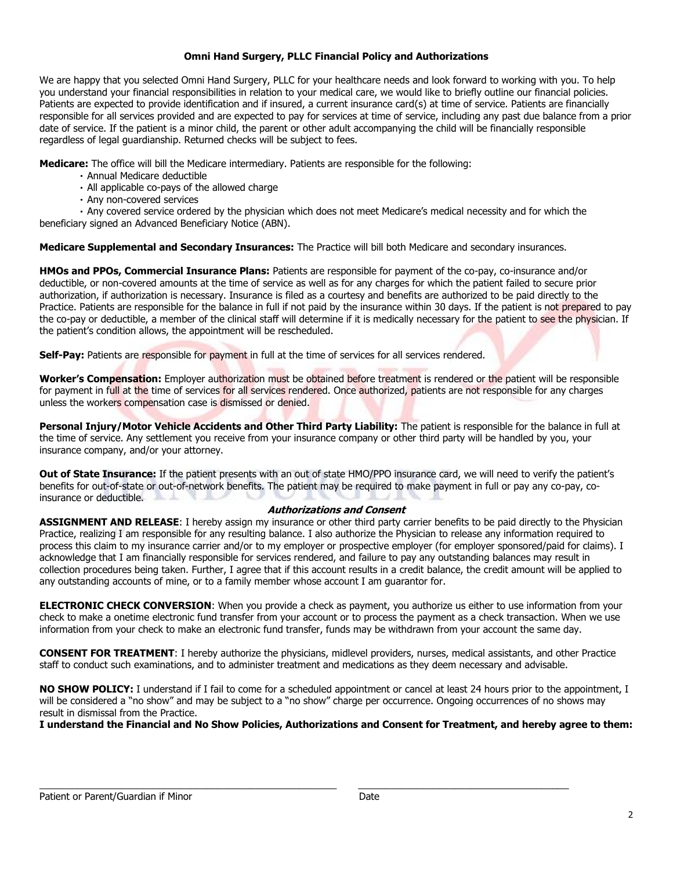#### **Omni Hand Surgery, PLLC Financial Policy and Authorizations**

We are happy that you selected Omni Hand Surgery, PLLC for your healthcare needs and look forward to working with you. To help you understand your financial responsibilities in relation to your medical care, we would like to briefly outline our financial policies. Patients are expected to provide identification and if insured, a current insurance card(s) at time of service. Patients are financially responsible for all services provided and are expected to pay for services at time of service, including any past due balance from a prior date of service. If the patient is a minor child, the parent or other adult accompanying the child will be financially responsible regardless of legal guardianship. Returned checks will be subject to fees.

**Medicare:** The office will bill the Medicare intermediary. Patients are responsible for the following:

- Annual Medicare deductible
- All applicable co-pays of the allowed charge
- Any non-covered services

Any covered service ordered by the physician which does not meet Medicare's medical necessity and for which the beneficiary signed an Advanced Beneficiary Notice (ABN).

**Medicare Supplemental and Secondary Insurances:** The Practice will bill both Medicare and secondary insurances.

**HMOs and PPOs, Commercial Insurance Plans:** Patients are responsible for payment of the co-pay, co-insurance and/or deductible, or non-covered amounts at the time of service as well as for any charges for which the patient failed to secure prior authorization, if authorization is necessary. Insurance is filed as a courtesy and benefits are authorized to be paid directly to the Practice. Patients are responsible for the balance in full if not paid by the insurance within 30 days. If the patient is not prepared to pay the co-pay or deductible, a member of the clinical staff will determine if it is medically necessary for the patient to see the physician. If the patient's condition allows, the appointment will be rescheduled.

**Self-Pay:** Patients are responsible for payment in full at the time of services for all services rendered.

**Worker's Compensation:** Employer authorization must be obtained before treatment is rendered or the patient will be responsible for payment in full at the time of services for all services rendered. Once authorized, patients are not responsible for any charges unless the workers compensation case is dismissed or denied.

**Personal Injury/Motor Vehicle Accidents and Other Third Party Liability:** The patient is responsible for the balance in full at the time of service. Any settlement you receive from your insurance company or other third party will be handled by you, your insurance company, and/or your attorney.

**Out of State Insurance:** If the patient presents with an out of state HMO/PPO insurance card, we will need to verify the patient's benefits for out-of-state or out-of-network benefits. The patient may be required to make payment in full or pay any co-pay, coinsurance or deductible.

#### **Authorizations and Consent**

**ASSIGNMENT AND RELEASE**: I hereby assign my insurance or other third party carrier benefits to be paid directly to the Physician Practice, realizing I am responsible for any resulting balance. I also authorize the Physician to release any information required to process this claim to my insurance carrier and/or to my employer or prospective employer (for employer sponsored/paid for claims). I acknowledge that I am financially responsible for services rendered, and failure to pay any outstanding balances may result in collection procedures being taken. Further, I agree that if this account results in a credit balance, the credit amount will be applied to any outstanding accounts of mine, or to a family member whose account I am guarantor for.

**ELECTRONIC CHECK CONVERSION**: When you provide a check as payment, you authorize us either to use information from your check to make a onetime electronic fund transfer from your account or to process the payment as a check transaction. When we use information from your check to make an electronic fund transfer, funds may be withdrawn from your account the same day.

**CONSENT FOR TREATMENT**: I hereby authorize the physicians, midlevel providers, nurses, medical assistants, and other Practice staff to conduct such examinations, and to administer treatment and medications as they deem necessary and advisable.

**NO SHOW POLICY:** I understand if I fail to come for a scheduled appointment or cancel at least 24 hours prior to the appointment, I will be considered a "no show" and may be subject to a "no show" charge per occurrence. Ongoing occurrences of no shows may result in dismissal from the Practice.

**I understand the Financial and No Show Policies, Authorizations and Consent for Treatment, and hereby agree to them:**

\_\_\_\_\_\_\_\_\_\_\_\_\_\_\_\_\_\_\_\_\_\_\_\_\_\_\_\_\_\_\_\_\_\_\_\_\_\_\_\_\_\_\_\_\_\_\_\_\_\_\_\_\_\_\_ \_\_\_\_\_\_\_\_\_\_\_\_\_\_\_\_\_\_\_\_\_\_\_\_\_\_\_\_\_\_\_\_\_\_\_\_\_\_\_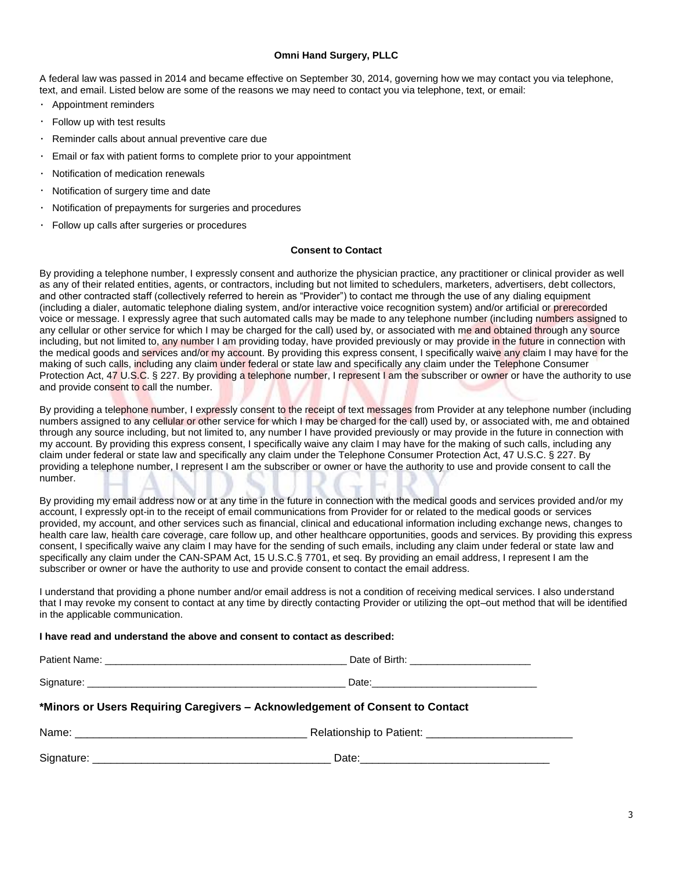A federal law was passed in 2014 and became effective on September 30, 2014, governing how we may contact you via telephone, text, and email. Listed below are some of the reasons we may need to contact you via telephone, text, or email:

- Appointment reminders
- Follow up with test results
- Reminder calls about annual preventive care due
- Email or fax with patient forms to complete prior to your appointment
- Notification of medication renewals
- Notification of surgery time and date
- Notification of prepayments for surgeries and procedures
- Follow up calls after surgeries or procedures

#### **Consent to Contact**

By providing a telephone number, I expressly consent and authorize the physician practice, any practitioner or clinical provider as well as any of their related entities, agents, or contractors, including but not limited to schedulers, marketers, advertisers, debt collectors, and other contracted staff (collectively referred to herein as "Provider") to contact me through the use of any dialing equipment (including a dialer, automatic telephone dialing system, and/or interactive voice recognition system) and/or artificial or prerecorded voice or message. I expressly agree that such automated calls may be made to any telephone number (including numbers assigned to any cellular or other service for which I may be charged for the call) used by, or associated with me and obtained through any source including, but not limited to, any number I am providing today, have provided previously or may provide in the future in connection with the medical goods and services and/or my account. By providing this express consent, I specifically waive any claim I may have for the making of such calls, including any claim under federal or state law and specifically any claim under the Telephone Consumer Protection Act, 47 U.S.C. § 227. By providing a telephone number, I represent I am the subscriber or owner or have the authority to use and provide consent to call the number.

By providing a telephone number, I expressly consent to the receipt of text messages from Provider at any telephone number (including numbers assigned to any cellular or other service for which I may be charged for the call) used by, or associated with, me and obtained through any source including, but not limited to, any number I have provided previously or may provide in the future in connection with my account. By providing this express consent, I specifically waive any claim I may have for the making of such calls, including any claim under federal or state law and specifically any claim under the Telephone Consumer Protection Act, 47 U.S.C. § 227. By providing a telephone number, I represent I am the subscriber or owner or have the authority to use and provide consent to call the number.

By providing my email address now or at any time in the future in connection with the medical goods and services provided and/or my account, I expressly opt-in to the receipt of email communications from Provider for or related to the medical goods or services provided, my account, and other services such as financial, clinical and educational information including exchange news, changes to health care law, health care coverage, care follow up, and other healthcare opportunities, goods and services. By providing this express consent, I specifically waive any claim I may have for the sending of such emails, including any claim under federal or state law and specifically any claim under the CAN-SPAM Act, 15 U.S.C.§ 7701, et seq. By providing an email address, I represent I am the subscriber or owner or have the authority to use and provide consent to contact the email address.

I understand that providing a phone number and/or email address is not a condition of receiving medical services. I also understand that I may revoke my consent to contact at any time by directly contacting Provider or utilizing the opt–out method that will be identified in the applicable communication.

#### **I have read and understand the above and consent to contact as described:**

| *Minors or Users Requiring Caregivers - Acknowledgement of Consent to Contact |  |  |  |  |
|-------------------------------------------------------------------------------|--|--|--|--|
|                                                                               |  |  |  |  |
|                                                                               |  |  |  |  |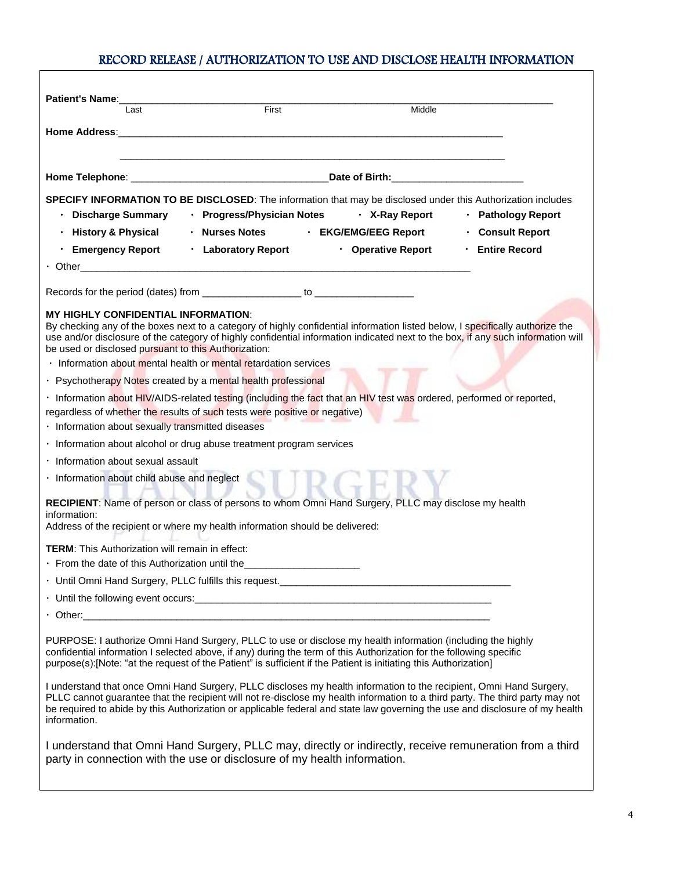### RECORD RELEASE / AUTHORIZATION TO USE AND DISCLOSE HEALTH INFORMATION

| <b>Patient's Name:</b><br>Last                                                                                                                                                                                                                                                                                                                                                                       | First                      | Middle                      |                       |
|------------------------------------------------------------------------------------------------------------------------------------------------------------------------------------------------------------------------------------------------------------------------------------------------------------------------------------------------------------------------------------------------------|----------------------------|-----------------------------|-----------------------|
|                                                                                                                                                                                                                                                                                                                                                                                                      |                            |                             |                       |
|                                                                                                                                                                                                                                                                                                                                                                                                      |                            |                             |                       |
|                                                                                                                                                                                                                                                                                                                                                                                                      |                            |                             |                       |
| SPECIFY INFORMATION TO BE DISCLOSED: The information that may be disclosed under this Authorization includes<br>Discharge Summary                                                                                                                                                                                                                                                                    | · Progress/Physician Notes | · X-Ray Report              | · Pathology Report    |
| History & Physical                                                                                                                                                                                                                                                                                                                                                                                   | · Nurses Notes             | <b>・ EKG/EMG/EEG Report</b> | <b>Consult Report</b> |
| ⋅ Emergency Report                                                                                                                                                                                                                                                                                                                                                                                   | · Laboratory Report        | • Operative Report          | · Entire Record       |
|                                                                                                                                                                                                                                                                                                                                                                                                      |                            |                             |                       |
|                                                                                                                                                                                                                                                                                                                                                                                                      |                            |                             |                       |
| <b>MY HIGHLY CONFIDENTIAL INFORMATION:</b><br>By checking any of the boxes next to a category of highly confidential information listed below, I specifically authorize the<br>use and/or disclosure of the category of highly confidential information indicated next to the box, if any such information will<br>be used or disclosed pursuant to this Authorization:                              |                            |                             |                       |
| · Information about mental health or mental retardation services                                                                                                                                                                                                                                                                                                                                     |                            |                             |                       |
| · Psychotherapy Notes created by a mental health professional                                                                                                                                                                                                                                                                                                                                        |                            |                             |                       |
| · Information about HIV/AIDS-related testing (including the fact that an HIV test was ordered, performed or reported,<br>regardless of whether the results of such tests were positive or negative)<br>· Information about sexually transmitted diseases                                                                                                                                             |                            |                             |                       |
| · Information about alcohol or drug abuse treatment program services                                                                                                                                                                                                                                                                                                                                 |                            |                             |                       |
| · Information about sexual assault                                                                                                                                                                                                                                                                                                                                                                   |                            |                             |                       |
| · Information about child abuse and neglect                                                                                                                                                                                                                                                                                                                                                          |                            |                             |                       |
| RECIPIENT: Name of person or class of persons to whom Omni Hand Surgery, PLLC may disclose my health<br>information:<br>Address of the recipient or where my health information should be delivered:                                                                                                                                                                                                 |                            |                             |                       |
| <b>TERM:</b> This Authorization will remain in effect:                                                                                                                                                                                                                                                                                                                                               |                            |                             |                       |
| · From the date of this Authorization until the                                                                                                                                                                                                                                                                                                                                                      |                            |                             |                       |
|                                                                                                                                                                                                                                                                                                                                                                                                      |                            |                             |                       |
|                                                                                                                                                                                                                                                                                                                                                                                                      |                            |                             |                       |
| Other: Communication of the communication of the communication of the communication of the communication of the communication of the communication of the communication of the communication of the communication of the commu                                                                                                                                                                       |                            |                             |                       |
| PURPOSE: I authorize Omni Hand Surgery, PLLC to use or disclose my health information (including the highly<br>confidential information I selected above, if any) during the term of this Authorization for the following specific<br>purpose(s):[Note: "at the request of the Patient" is sufficient if the Patient is initiating this Authorization]                                               |                            |                             |                       |
| I understand that once Omni Hand Surgery, PLLC discloses my health information to the recipient, Omni Hand Surgery,<br>PLLC cannot guarantee that the recipient will not re-disclose my health information to a third party. The third party may not<br>be required to abide by this Authorization or applicable federal and state law governing the use and disclosure of my health<br>information. |                            |                             |                       |
| I understand that Omni Hand Surgery, PLLC may, directly or indirectly, receive remuneration from a third<br>party in connection with the use or disclosure of my health information.                                                                                                                                                                                                                 |                            |                             |                       |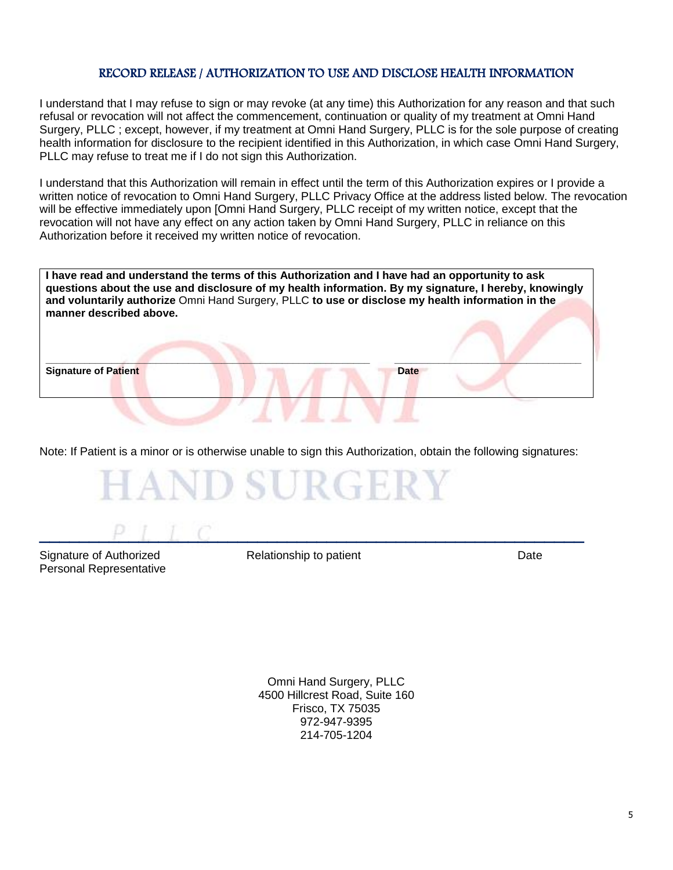#### RECORD RELEASE / AUTHORIZATION TO USE AND DISCLOSE HEALTH INFORMATION

I understand that I may refuse to sign or may revoke (at any time) this Authorization for any reason and that such refusal or revocation will not affect the commencement, continuation or quality of my treatment at Omni Hand Surgery, PLLC ; except, however, if my treatment at Omni Hand Surgery, PLLC is for the sole purpose of creating health information for disclosure to the recipient identified in this Authorization, in which case Omni Hand Surgery, PLLC may refuse to treat me if I do not sign this Authorization.

I understand that this Authorization will remain in effect until the term of this Authorization expires or I provide a written notice of revocation to Omni Hand Surgery, PLLC Privacy Office at the address listed below. The revocation will be effective immediately upon [Omni Hand Surgery, PLLC receipt of my written notice, except that the revocation will not have any effect on any action taken by Omni Hand Surgery, PLLC in reliance on this Authorization before it received my written notice of revocation.

| manner described above.     | I have read and understand the terms of this Authorization and I have had an opportunity to ask<br>questions about the use and disclosure of my health information. By my signature, I hereby, knowingly<br>and voluntarily authorize Omni Hand Surgery, PLLC to use or disclose my health information in the |
|-----------------------------|---------------------------------------------------------------------------------------------------------------------------------------------------------------------------------------------------------------------------------------------------------------------------------------------------------------|
| <b>Signature of Patient</b> | Date                                                                                                                                                                                                                                                                                                          |
|                             |                                                                                                                                                                                                                                                                                                               |

Note: If Patient is a minor or is otherwise unable to sign this Authorization, obtain the following signatures:



Signature of Authorized **Relationship to patient** Mate Date Personal Representative

 $P \perp L \perp C$ 

Omni Hand Surgery, PLLC 4500 Hillcrest Road, Suite 160 Frisco, TX 75035 972-947-9395 214-705-1204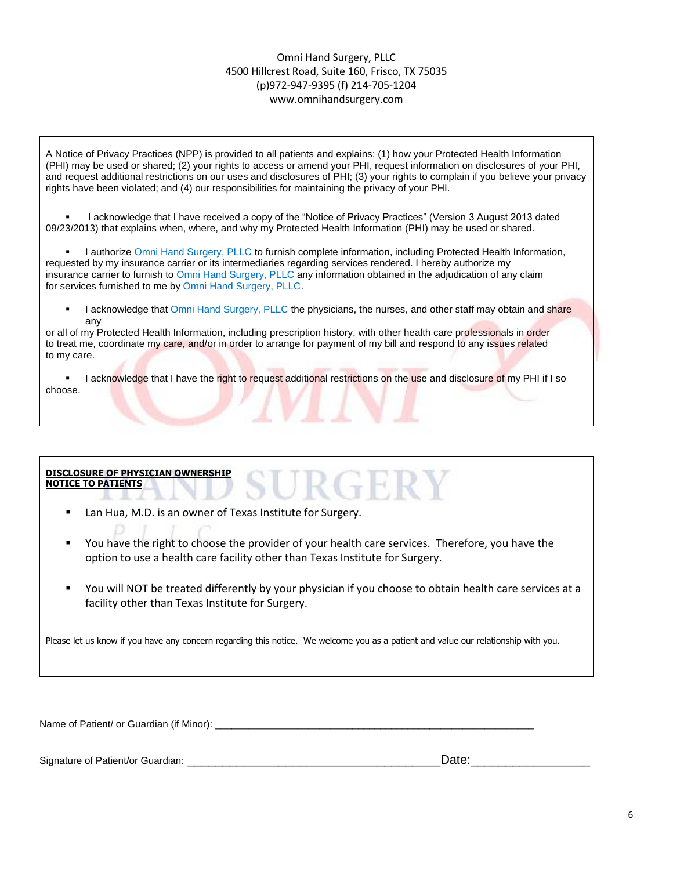#### Omni Hand Surgery, PLLC 4500 Hillcrest Road, Suite 160, Frisco, TX 75035 (p)972-947-9395 (f) 214-705-1204 www.omnihandsurgery.com

A Notice of Privacy Practices (NPP) is provided to all patients and explains: (1) how your Protected Health Information (PHI) may be used or shared; (2) your rights to access or amend your PHI, request information on disclosures of your PHI, and request additional restrictions on our uses and disclosures of PHI; (3) your rights to complain if you believe your privacy rights have been violated; and (4) our responsibilities for maintaining the privacy of your PHI.

 I acknowledge that I have received a copy of the "Notice of Privacy Practices" (Version 3 August 2013 dated 09/23/2013) that explains when, where, and why my Protected Health Information (PHI) may be used or shared.

 I authorize Omni Hand Surgery, PLLC to furnish complete information, including Protected Health Information, requested by my insurance carrier or its intermediaries regarding services rendered. I hereby authorize my insurance carrier to furnish to Omni Hand Surgery, PLLC any information obtained in the adjudication of any claim for services furnished to me by Omni Hand Surgery, PLLC.

I acknowledge that Omni Hand Surgery, PLLC the physicians, the nurses, and other staff may obtain and share any

or all of my Protected Health Information, including prescription history, with other health care professionals in order to treat me, coordinate my care, and/or in order to arrange for payment of my bill and respond to any issues related to my care.

I acknowledge that I have the right to request additional restrictions on the use and disclosure of my PHI if I so choose.

**DISCLOSURE OF PHYSICIAN OWNERSHIP NOTICE TO PATIENTS**

- Lan Hua, M.D. is an owner of Texas Institute for Surgery.
- You have the right to choose the provider of your health care services. Therefore, you have the option to use a health care facility other than Texas Institute for Surgery.
- You will NOT be treated differently by your physician if you choose to obtain health care services at a facility other than Texas Institute for Surgery.

 $2 GER$ 

Please let us know if you have any concern regarding this notice. We welcome you as a patient and value our relationship with you.

Name of Patient/ or Guardian (if Minor): \_\_\_\_\_\_\_\_\_\_\_\_\_\_\_\_\_\_\_\_\_\_\_\_\_\_\_\_\_\_\_\_\_\_\_\_\_\_\_\_\_\_\_\_\_\_\_\_\_\_\_\_\_\_\_\_\_\_

Signature of Patient/or Guardian: \_\_\_\_\_\_\_\_\_\_\_\_\_\_\_\_\_\_\_\_\_\_\_\_\_\_\_\_\_\_\_\_\_\_\_\_Date:\_\_\_\_\_\_\_\_\_\_\_\_\_\_\_\_\_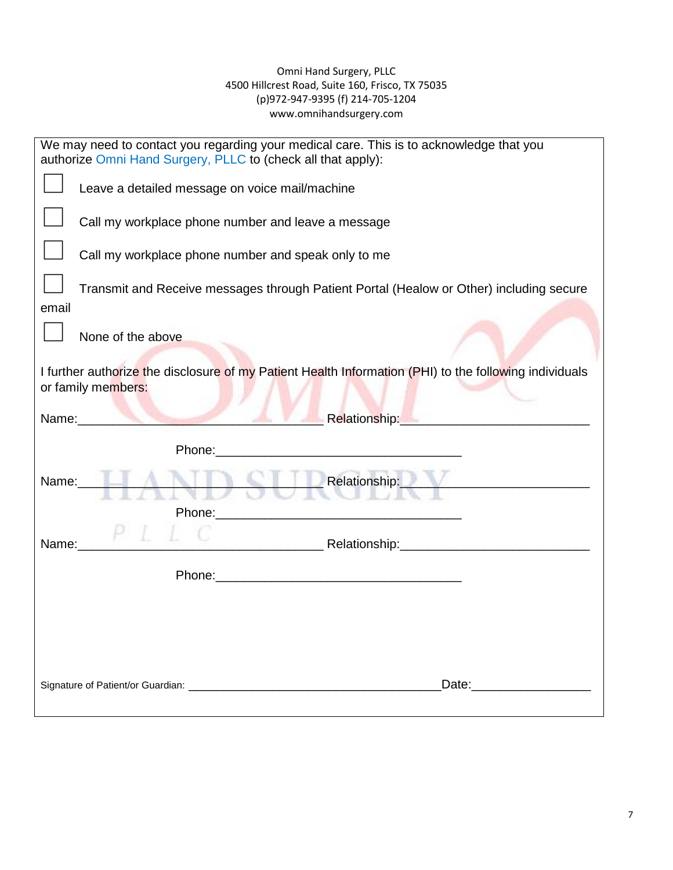#### Omni Hand Surgery, PLLC 4500 Hillcrest Road, Suite 160, Frisco, TX 75035 (p)972-947-9395 (f) 214-705-1204 www.omnihandsurgery.com

| We may need to contact you regarding your medical care. This is to acknowledge that you<br>authorize Omni Hand Surgery, PLLC to (check all that apply):                                                                        |  |
|--------------------------------------------------------------------------------------------------------------------------------------------------------------------------------------------------------------------------------|--|
| Leave a detailed message on voice mail/machine                                                                                                                                                                                 |  |
| Call my workplace phone number and leave a message                                                                                                                                                                             |  |
| Call my workplace phone number and speak only to me                                                                                                                                                                            |  |
| Transmit and Receive messages through Patient Portal (Healow or Other) including secure                                                                                                                                        |  |
| email                                                                                                                                                                                                                          |  |
| None of the above                                                                                                                                                                                                              |  |
| I further authorize the disclosure of my Patient Health Information (PHI) to the following individuals<br>or family members:                                                                                                   |  |
| Name: Name: Name: Network of the Contract of the Contract of the Contract of the Contract of the Contract of the Contract of the Contract of the Contract of the Contract of the Contract of the Contract of the Contract of t |  |
|                                                                                                                                                                                                                                |  |
| Phone: Note: Note: Note: Note: Note: Note: Note: Note: Note: Note: Note: Note: Note: Note: Note: Note: Note: Note: Note: Note: Note: Note: Note: Note: Note: Note: Note: Note: Note: Note: Note: Note: Note: Note: Note: Note: |  |
| Relationship:<br>Name:                                                                                                                                                                                                         |  |
|                                                                                                                                                                                                                                |  |
|                                                                                                                                                                                                                                |  |
| Name:                                                                                                                                                                                                                          |  |
|                                                                                                                                                                                                                                |  |
|                                                                                                                                                                                                                                |  |
|                                                                                                                                                                                                                                |  |
|                                                                                                                                                                                                                                |  |
|                                                                                                                                                                                                                                |  |
| Date: Date:                                                                                                                                                                                                                    |  |
|                                                                                                                                                                                                                                |  |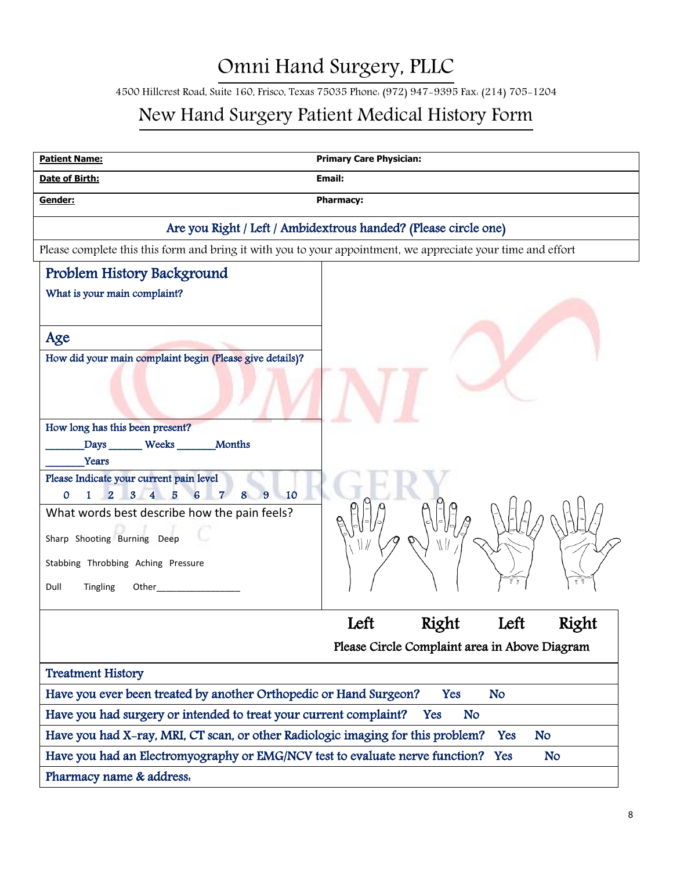4500 Hillcrest Road, Suite 160, Frisco, Texas 75035 Phone: (972) 947-9395 Fax: (214) 705-1204

## New Hand Surgery Patient Medical History Form

| <b>Patient Name:</b>                                                                                                                                                                                                                                                                                                                                                                                                                      | <b>Primary Care Physician:</b>                                  |
|-------------------------------------------------------------------------------------------------------------------------------------------------------------------------------------------------------------------------------------------------------------------------------------------------------------------------------------------------------------------------------------------------------------------------------------------|-----------------------------------------------------------------|
| Date of Birth:                                                                                                                                                                                                                                                                                                                                                                                                                            | Email:                                                          |
| Gender:                                                                                                                                                                                                                                                                                                                                                                                                                                   | <b>Pharmacy:</b>                                                |
|                                                                                                                                                                                                                                                                                                                                                                                                                                           | Are you Right / Left / Ambidextrous handed? (Please circle one) |
| Please complete this this form and bring it with you to your appointment, we appreciate your time and effort                                                                                                                                                                                                                                                                                                                              |                                                                 |
| Problem History Background                                                                                                                                                                                                                                                                                                                                                                                                                |                                                                 |
| What is your main complaint?                                                                                                                                                                                                                                                                                                                                                                                                              |                                                                 |
| Age<br>How did your main complaint begin (Please give details)?<br>How long has this been present?                                                                                                                                                                                                                                                                                                                                        |                                                                 |
| Months<br>Days Weeks                                                                                                                                                                                                                                                                                                                                                                                                                      |                                                                 |
| Years                                                                                                                                                                                                                                                                                                                                                                                                                                     |                                                                 |
| Please Indicate your current pain level<br>8<br>$\mathbf{O}$<br>$\mathbf{1}$<br>$\overline{2}$<br>$7^{\circ}$<br>10                                                                                                                                                                                                                                                                                                                       |                                                                 |
| 3 <sup>1</sup><br>$\overline{\mathbf{4}}$<br>6<br>9<br>5<br>What words best describe how the pain feels?<br>Sharp Shooting Burning Deep<br>Stabbing Throbbing Aching Pressure<br>Dull<br>Tingling<br>Other <b>Communist Communist Communist Communist Communist Communist Communist Communist Communist Communist Communist Communist Communist Communist Communist Communist Communist Communist Communist Communist Communist Commu</b> |                                                                 |
|                                                                                                                                                                                                                                                                                                                                                                                                                                           | Right<br>Right<br>Left<br>Left                                  |
|                                                                                                                                                                                                                                                                                                                                                                                                                                           | Please Circle Complaint area in Above Diagram                   |
| <b>Treatment History</b>                                                                                                                                                                                                                                                                                                                                                                                                                  |                                                                 |
| Have you ever been treated by another Orthopedic or Hand Surgeon?                                                                                                                                                                                                                                                                                                                                                                         | Yes<br><b>No</b>                                                |
| Have you had surgery or intended to treat your current complaint?                                                                                                                                                                                                                                                                                                                                                                         | Yes<br><b>No</b>                                                |
| Have you had X-ray, MRI, CT scan, or other Radiologic imaging for this problem?                                                                                                                                                                                                                                                                                                                                                           | <b>No</b><br>Yes                                                |
| Have you had an Electromyography or EMG/NCV test to evaluate nerve function? Yes                                                                                                                                                                                                                                                                                                                                                          | <b>No</b>                                                       |
| Pharmacy name & address.                                                                                                                                                                                                                                                                                                                                                                                                                  |                                                                 |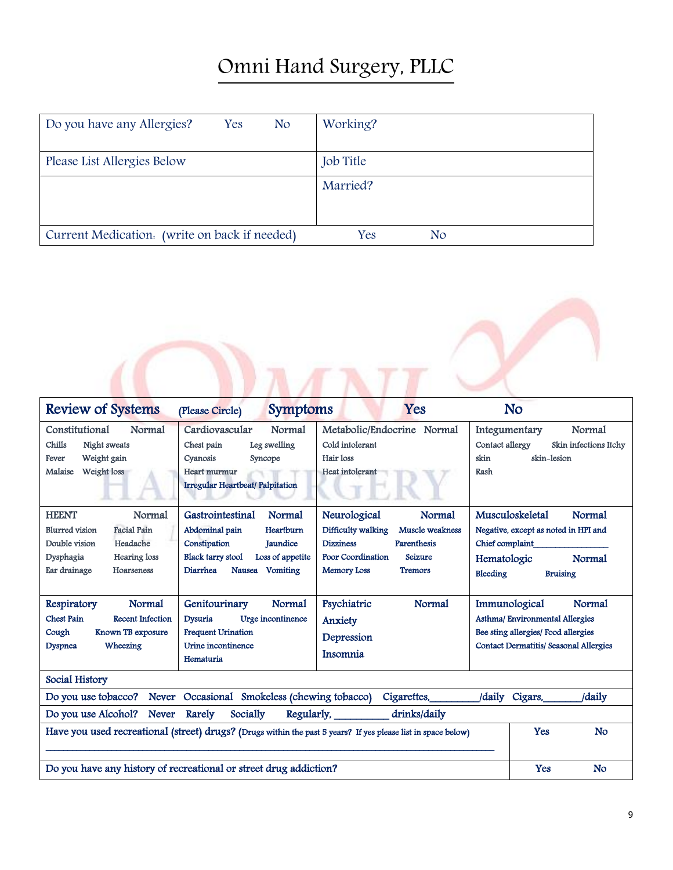| Do you have any Allergies?<br>Yes<br><b>No</b> | Working?              |
|------------------------------------------------|-----------------------|
| Please List Allergies Below                    | <b>Job</b> Title      |
|                                                | Married?              |
| Current Medication. (write on back if needed)  | Yes<br>N <sub>o</sub> |

| <b>Review of Systems</b>                                                                                                                                      | <b>Symptoms</b><br>(Please Circle)                                                                                                                                      | Yes                                                                                                                                                                               | No                                                                                                    |                                                                |  |
|---------------------------------------------------------------------------------------------------------------------------------------------------------------|-------------------------------------------------------------------------------------------------------------------------------------------------------------------------|-----------------------------------------------------------------------------------------------------------------------------------------------------------------------------------|-------------------------------------------------------------------------------------------------------|----------------------------------------------------------------|--|
| Constitutional<br>Normal<br>Chills<br>Night sweats<br>Weight gain<br>Fever<br>Weight loss<br>Malaise                                                          | Cardiovascular<br>Normal<br>Leg swelling<br>Chest pain<br>Cyanosis<br>Syncope<br>Heart murmur<br>Irregular Heartbeat/ Palpitation                                       | Metabolic/Endocrine Normal<br>Cold intolerant<br>Hair loss<br>Heat intolerant                                                                                                     | Integumentary<br>Contact allergy<br>skin<br>Rash                                                      | Normal<br>Skin infections Itchy<br>skin-lesion                 |  |
| <b>HEENT</b><br>Normal<br><b>Blurred</b> vision<br><b>Facial Pain</b><br>Double vision<br>Headache<br>Dysphagia<br>Hearing loss<br>Ear drainage<br>Hoarseness | Normal<br>Gastrointestinal<br>Heartburn<br>Abdominal pain<br>Constipation<br>Jaundice<br><b>Black tarry stool</b><br>Loss of appetite<br>Diarrhea<br>Vomiting<br>Nausea | Neurological<br>Normal<br>Difficulty walking<br>Muscle weakness<br><b>Dizziness</b><br><b>Parenthesis</b><br>Poor Coordination<br>Seizure<br><b>Memory Loss</b><br><b>Tremors</b> | Musculoskeletal<br>Negative, except as noted in HPI and<br>Chief complaint<br>Hematologic<br>Bleeding | <b>Normal</b><br><b>Normal</b><br><b>Bruising</b>              |  |
| Normal<br>Respiratory<br><b>Chest Pain</b><br><b>Recent Infection</b><br>Known TB exposure<br>Cough<br>Wheezing<br><b>Dyspnea</b>                             | Genitourinary<br>Normal<br><b>Dysuria</b><br>Urge incontinence<br><b>Frequent Urination</b><br>Urine incontinence<br>Hematuria                                          | Psychiatric<br>Normal<br>Anxiety<br>Depression<br>Insomnia                                                                                                                        | Immunological<br>Asthma/ Environmental Allergies<br>Bee sting allergies/ Food allergies               | <b>Normal</b><br><b>Contact Dermatitis/ Seasonal Allergies</b> |  |
| Social History                                                                                                                                                |                                                                                                                                                                         |                                                                                                                                                                                   |                                                                                                       |                                                                |  |
|                                                                                                                                                               | Do you use tobacco? Never Occasional Smokeless (chewing tobacco)                                                                                                        | Cigarettes,                                                                                                                                                                       | /daily Cigars,                                                                                        | /daily                                                         |  |
| Do you use Alcohol?<br><b>Never</b><br>Have you used recreational (street) drugs? (Drugs within the past 5 years? If yes please list in space below)          | Yes                                                                                                                                                                     | <b>No</b>                                                                                                                                                                         |                                                                                                       |                                                                |  |
| Do you have any history of recreational or street drug addiction?<br>Yes                                                                                      |                                                                                                                                                                         |                                                                                                                                                                                   |                                                                                                       |                                                                |  |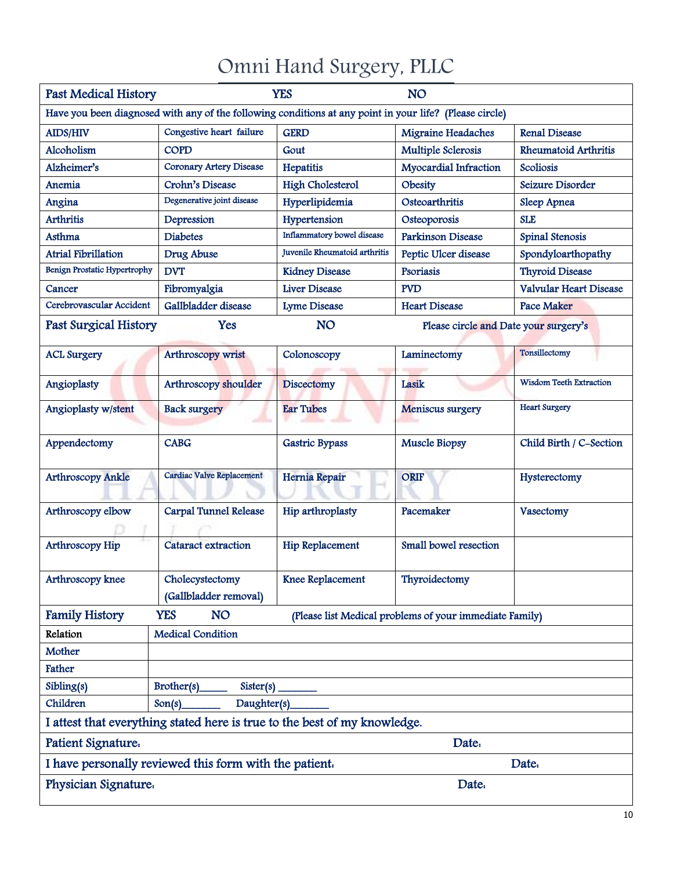| <b>YES</b><br><b>Past Medical History</b><br><b>NO</b>                    |                                                                                                         |                               |                                                         |                                |  |  |  |
|---------------------------------------------------------------------------|---------------------------------------------------------------------------------------------------------|-------------------------------|---------------------------------------------------------|--------------------------------|--|--|--|
|                                                                           | Have you been diagnosed with any of the following conditions at any point in your life? (Please circle) |                               |                                                         |                                |  |  |  |
| <b>AIDS/HIV</b>                                                           | Congestive heart failure                                                                                | <b>GERD</b>                   | Migraine Headaches                                      | <b>Renal Disease</b>           |  |  |  |
| Alcoholism                                                                | <b>COPD</b>                                                                                             | Gout                          | Multiple Sclerosis                                      | <b>Rheumatoid Arthritis</b>    |  |  |  |
| Alzheimer's                                                               | <b>Coronary Artery Disease</b>                                                                          | Hepatitis                     | Myocardial Infraction                                   | Scoliosis                      |  |  |  |
| Anemia                                                                    | Crohn's Disease                                                                                         | <b>High Cholesterol</b>       | Obesity                                                 | Seizure Disorder               |  |  |  |
| Angina                                                                    | Degenerative joint disease                                                                              | Hyperlipidemia                | Osteoarthritis                                          | Sleep Apnea                    |  |  |  |
| <b>Arthritis</b>                                                          | Depression                                                                                              | Hypertension                  | Osteoporosis                                            | <b>SLE</b>                     |  |  |  |
| Asthma                                                                    | <b>Diabetes</b>                                                                                         | Inflammatory bowel disease    | <b>Parkinson Disease</b>                                | Spinal Stenosis                |  |  |  |
| <b>Atrial Fibrillation</b>                                                | Drug Abuse                                                                                              | Juvenile Rheumatoid arthritis | Peptic Ulcer disease                                    | Spondyloarthopathy             |  |  |  |
| Benign Prostatic Hypertrophy                                              | <b>DVT</b>                                                                                              | <b>Kidney Disease</b>         | Psoriasis                                               | <b>Thyroid Disease</b>         |  |  |  |
| Cancer                                                                    | Fibromyalgia                                                                                            | <b>Liver Disease</b>          | <b>PVD</b>                                              | Valvular Heart Disease         |  |  |  |
| Cerebrovascular Accident                                                  | Gallbladder disease                                                                                     | <b>Lyme Disease</b>           | <b>Heart Disease</b>                                    | <b>Pace Maker</b>              |  |  |  |
| <b>Past Surgical History</b>                                              | Yes                                                                                                     | <b>NO</b>                     | Please circle and Date your surgery's                   |                                |  |  |  |
| <b>ACL Surgery</b>                                                        | Arthroscopy wrist                                                                                       | Colonoscopy                   | Laminectomy                                             | Tonsillectomy                  |  |  |  |
| Angioplasty                                                               | Arthroscopy shoulder                                                                                    | <b>Discectomy</b>             | Lasik                                                   | <b>Wisdom Teeth Extraction</b> |  |  |  |
| Angioplasty w/stent                                                       | <b>Back surgery</b>                                                                                     | <b>Ear Tubes</b>              | Meniscus surgery                                        | <b>Heart Surgery</b>           |  |  |  |
| Appendectomy                                                              | <b>CABG</b>                                                                                             | <b>Gastric Bypass</b>         | <b>Muscle Biopsy</b>                                    | Child Birth / C-Section        |  |  |  |
| <b>Arthroscopy Ankle</b>                                                  | Cardiac Valve Replacement                                                                               | Hernia Repair                 | <b>ORIF</b>                                             | Hysterectomy                   |  |  |  |
| Arthroscopy elbow                                                         | <b>Carpal Tunnel Release</b>                                                                            | Hip arthroplasty              | Pacemaker                                               | Vasectomy                      |  |  |  |
| Arthroscopy Hip                                                           | Cataract extraction                                                                                     | Hip Replacement               | Small bowel resection                                   |                                |  |  |  |
| Arthroscopy knee                                                          | Cholecystectomy<br>(Gallbladder removal)                                                                | Knee Replacement              | Thyroidectomy                                           |                                |  |  |  |
| <b>Family History</b>                                                     | <b>YES</b><br><b>NO</b>                                                                                 |                               | (Please list Medical problems of your immediate Family) |                                |  |  |  |
| Relation                                                                  | <b>Medical Condition</b>                                                                                |                               |                                                         |                                |  |  |  |
| Mother                                                                    |                                                                                                         |                               |                                                         |                                |  |  |  |
| Father                                                                    |                                                                                                         |                               |                                                         |                                |  |  |  |
| Sibling(s)                                                                | Brother(s)<br>Sister(s)                                                                                 |                               |                                                         |                                |  |  |  |
| Children                                                                  | Daughter(s)<br>Son(s)                                                                                   |                               |                                                         |                                |  |  |  |
| I attest that everything stated here is true to the best of my knowledge. |                                                                                                         |                               |                                                         |                                |  |  |  |
| Patient Signature.<br>Date.                                               |                                                                                                         |                               |                                                         |                                |  |  |  |
| I have personally reviewed this form with the patient.<br>Date.           |                                                                                                         |                               |                                                         |                                |  |  |  |
| Physician Signature.<br>Date.                                             |                                                                                                         |                               |                                                         |                                |  |  |  |
|                                                                           |                                                                                                         |                               |                                                         |                                |  |  |  |